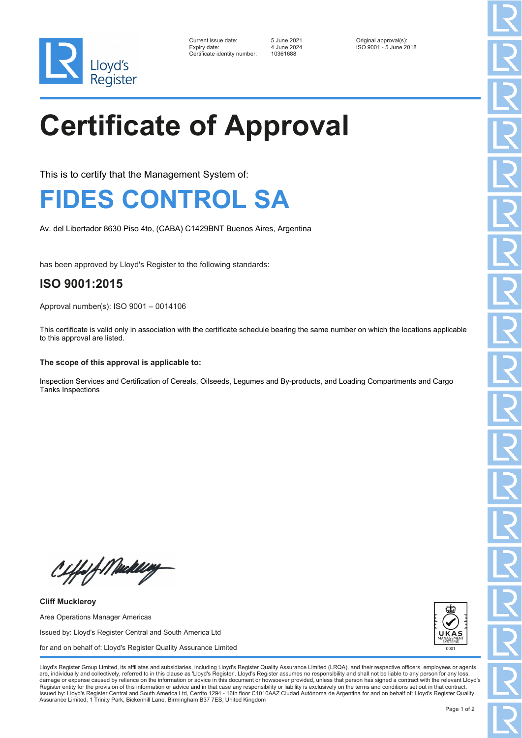

| Current issue date:          | 5 June 2021 | Original approval(s):  |
|------------------------------|-------------|------------------------|
| Expiry date:                 | 4 June 2024 | ISO 9001 - 5 June 2018 |
| Certificate identity number: | 10361688    |                        |

10361688

# **Certificate of Approval**

This is to certify that the Management System of:

### **FIDES CONTROL SA**

Av. del Libertador 8630 Piso 4to, (CABA) C1429BNT Buenos Aires, Argentina

has been approved by Lloyd's Register to the following standards:

### **ISO 9001:2015**

Approval number(s): ISO 9001 – 0014106

This certificate is valid only in association with the certificate schedule bearing the same number on which the locations applicable to this approval are listed.

#### **The scope of this approval is applicable to:**

Inspection Services and Certification of Cereals, Oilseeds, Legumes and By-products, and Loading Compartments and Cargo Tanks Inspections

Ciffof Mukling

**Cliff Muckleroy** Area Operations Manager Americas Issued by: Lloyd's Register Central and South America Ltd for and on behalf of: Lloyd's Register Quality Assurance Limited



Lloyd's Register Group Limited, its affiliates and subsidiaries, including Lloyd's Register Quality Assurance Limited (LRQA), and their respective officers, employees or agents are, individually and collectively, referred to in this clause as 'Lloyd's Register'. Lloyd's Register assumes no responsibility and shall not be liable to any person for any los damage or expense caused by reliance on the information or advice in this document or howsoever provided, unless that person has signed a contract with the relevant Lloyd's<br>Register entity for the provision of this informa Issued by: Lloyd's Register Central and South America Ltd, Cerrito 1294 - 16th floor C1010AAZ Ciudad Autónoma de Argentina for and on behalf of: Lloyd's Register Quality Assurance Limited, 1 Trinity Park, Bickenhill Lane, Birmingham B37 7ES, United Kingdom